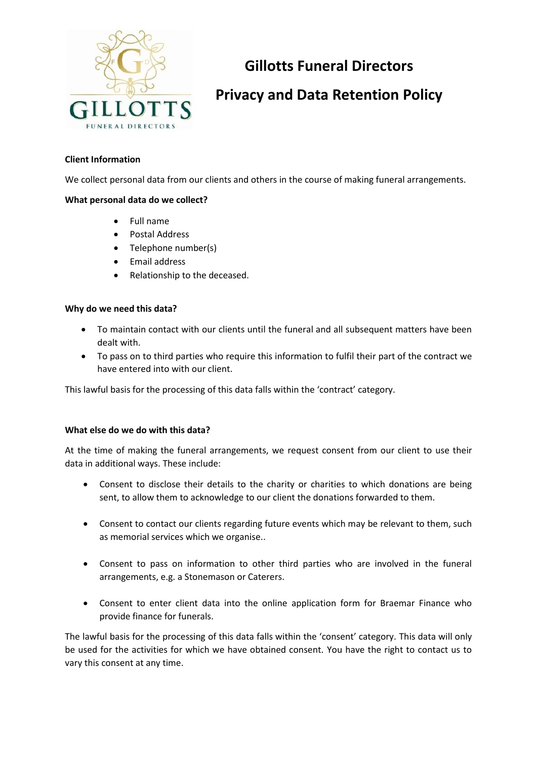

# **Gillotts Funeral Directors**

# **Privacy and Data Retention Policy**

# **Client Information**

We collect personal data from our clients and others in the course of making funeral arrangements.

# **What personal data do we collect?**

- Full name
- Postal Address
- Telephone number(s)
- Email address
- Relationship to the deceased.

#### **Why do we need this data?**

- To maintain contact with our clients until the funeral and all subsequent matters have been dealt with.
- To pass on to third parties who require this information to fulfil their part of the contract we have entered into with our client.

This lawful basis for the processing of this data falls within the 'contract' category.

#### **What else do we do with this data?**

At the time of making the funeral arrangements, we request consent from our client to use their data in additional ways. These include:

- Consent to disclose their details to the charity or charities to which donations are being sent, to allow them to acknowledge to our client the donations forwarded to them.
- Consent to contact our clients regarding future events which may be relevant to them, such as memorial services which we organise..
- Consent to pass on information to other third parties who are involved in the funeral arrangements, e.g. a Stonemason or Caterers.
- Consent to enter client data into the online application form for Braemar Finance who provide finance for funerals.

The lawful basis for the processing of this data falls within the 'consent' category. This data will only be used for the activities for which we have obtained consent. You have the right to contact us to vary this consent at any time.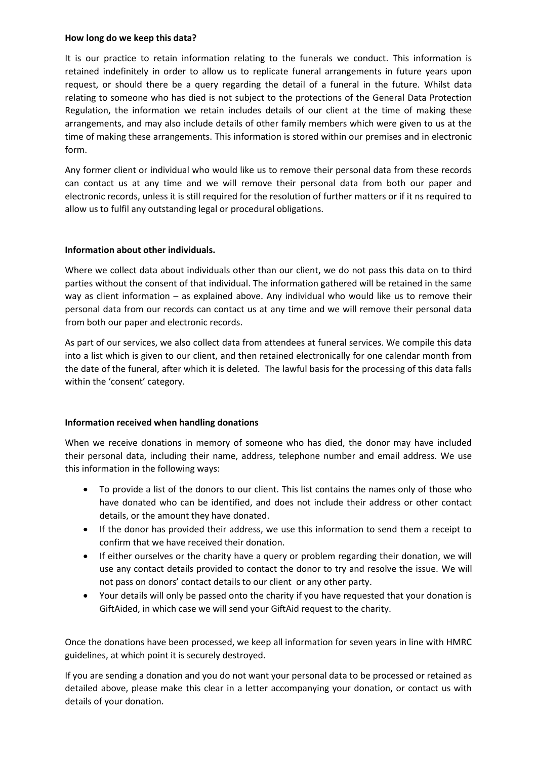#### **How long do we keep this data?**

It is our practice to retain information relating to the funerals we conduct. This information is retained indefinitely in order to allow us to replicate funeral arrangements in future years upon request, or should there be a query regarding the detail of a funeral in the future. Whilst data relating to someone who has died is not subject to the protections of the General Data Protection Regulation, the information we retain includes details of our client at the time of making these arrangements, and may also include details of other family members which were given to us at the time of making these arrangements. This information is stored within our premises and in electronic form.

Any former client or individual who would like us to remove their personal data from these records can contact us at any time and we will remove their personal data from both our paper and electronic records, unless it is still required for the resolution of further matters or if it ns required to allow us to fulfil any outstanding legal or procedural obligations.

# **Information about other individuals.**

Where we collect data about individuals other than our client, we do not pass this data on to third parties without the consent of that individual. The information gathered will be retained in the same way as client information – as explained above. Any individual who would like us to remove their personal data from our records can contact us at any time and we will remove their personal data from both our paper and electronic records.

As part of our services, we also collect data from attendees at funeral services. We compile this data into a list which is given to our client, and then retained electronically for one calendar month from the date of the funeral, after which it is deleted. The lawful basis for the processing of this data falls within the 'consent' category.

#### **Information received when handling donations**

When we receive donations in memory of someone who has died, the donor may have included their personal data, including their name, address, telephone number and email address. We use this information in the following ways:

- To provide a list of the donors to our client. This list contains the names only of those who have donated who can be identified, and does not include their address or other contact details, or the amount they have donated.
- If the donor has provided their address, we use this information to send them a receipt to confirm that we have received their donation.
- If either ourselves or the charity have a query or problem regarding their donation, we will use any contact details provided to contact the donor to try and resolve the issue. We will not pass on donors' contact details to our client or any other party.
- Your details will only be passed onto the charity if you have requested that your donation is GiftAided, in which case we will send your GiftAid request to the charity.

Once the donations have been processed, we keep all information for seven years in line with HMRC guidelines, at which point it is securely destroyed.

If you are sending a donation and you do not want your personal data to be processed or retained as detailed above, please make this clear in a letter accompanying your donation, or contact us with details of your donation.